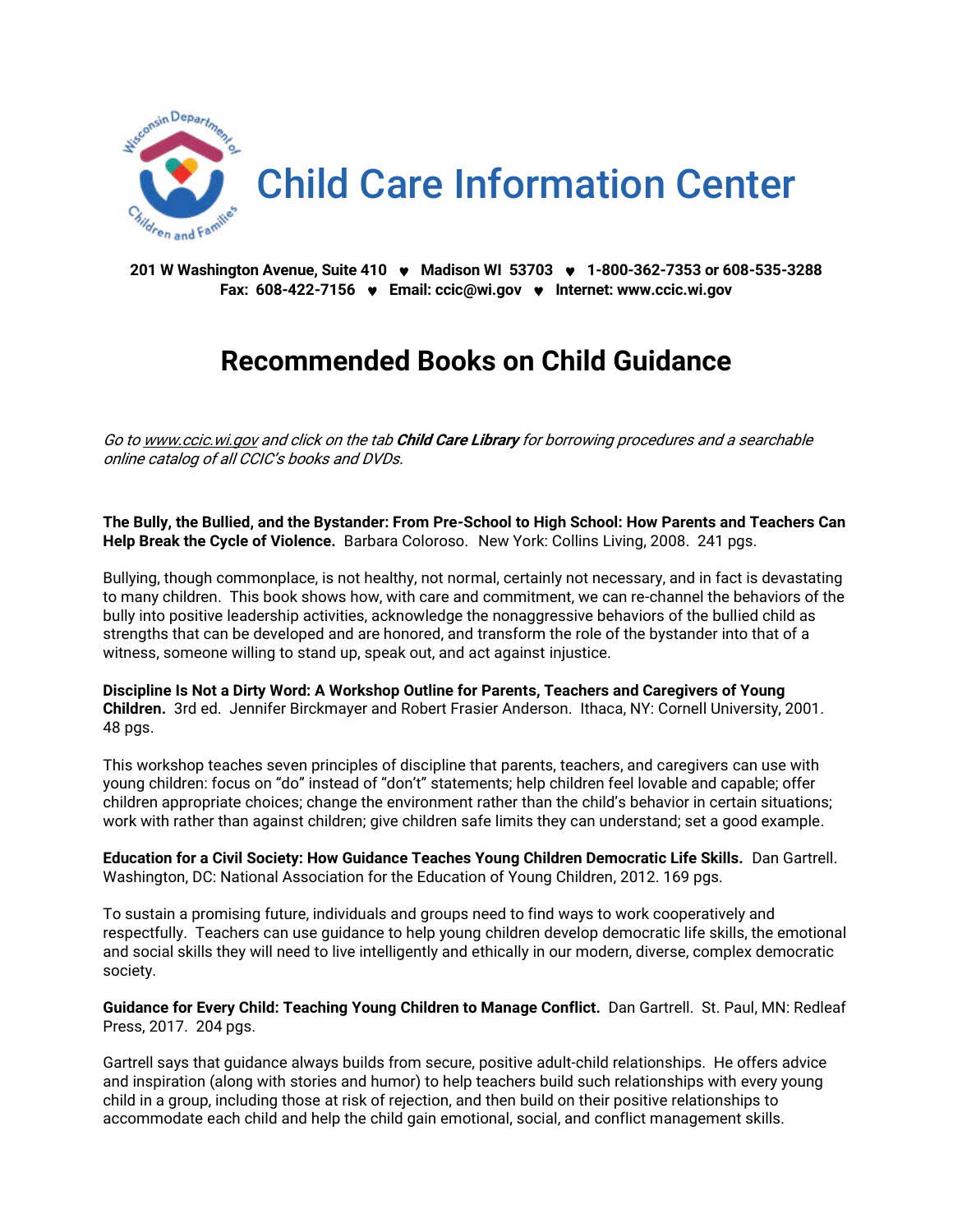

**201 W Washington Avenue, Suite 410 Madison WI 53703 1-800-362-7353 or 608-535-3288 Fax: 608-422-7156 Email: [ccic@wi.gov](mailto:ccic@wi.gov)  Internet[: www.ccic.wi.gov](http://www.ccic.wi.gov/)**

# **Recommended Books on Child Guidance**

Go t[o www.ccic.wi.gov](http://www.ccic.wi.gov/) and click on the tab **Child Care Library** for borrowing procedures and a searchable online catalog of all CCIC's books and DVDs.

**The Bully, the Bullied, and the Bystander: From Pre-School to High School: How Parents and Teachers Can Help Break the Cycle of Violence.** Barbara Coloroso. New York: Collins Living, 2008. 241 pgs.

Bullying, though commonplace, is not healthy, not normal, certainly not necessary, and in fact is devastating to many children. This book shows how, with care and commitment, we can re-channel the behaviors of the bully into positive leadership activities, acknowledge the nonaggressive behaviors of the bullied child as strengths that can be developed and are honored, and transform the role of the bystander into that of a witness, someone willing to stand up, speak out, and act against injustice.

**Discipline Is Not a Dirty Word: A Workshop Outline for Parents, Teachers and Caregivers of Young Children.** 3rd ed. Jennifer Birckmayer and Robert Frasier Anderson. Ithaca, NY: Cornell University, 2001. 48 pgs.

This workshop teaches seven principles of discipline that parents, teachers, and caregivers can use with young children: focus on "do" instead of "don't" statements; help children feel lovable and capable; offer children appropriate choices; change the environment rather than the child's behavior in certain situations; work with rather than against children; give children safe limits they can understand; set a good example.

**Education for a Civil Society: How Guidance Teaches Young Children Democratic Life Skills.** Dan Gartrell. Washington, DC: National Association for the Education of Young Children, 2012. 169 pgs.

To sustain a promising future, individuals and groups need to find ways to work cooperatively and respectfully. Teachers can use guidance to help young children develop democratic life skills, the emotional and social skills they will need to live intelligently and ethically in our modern, diverse, complex democratic society.

**Guidance for Every Child: Teaching Young Children to Manage Conflict.** Dan Gartrell. St. Paul, MN: Redleaf Press, 2017. 204 pgs.

Gartrell says that guidance always builds from secure, positive adult-child relationships. He offers advice and inspiration (along with stories and humor) to help teachers build such relationships with every young child in a group, including those at risk of rejection, and then build on their positive relationships to accommodate each child and help the child gain emotional, social, and conflict management skills.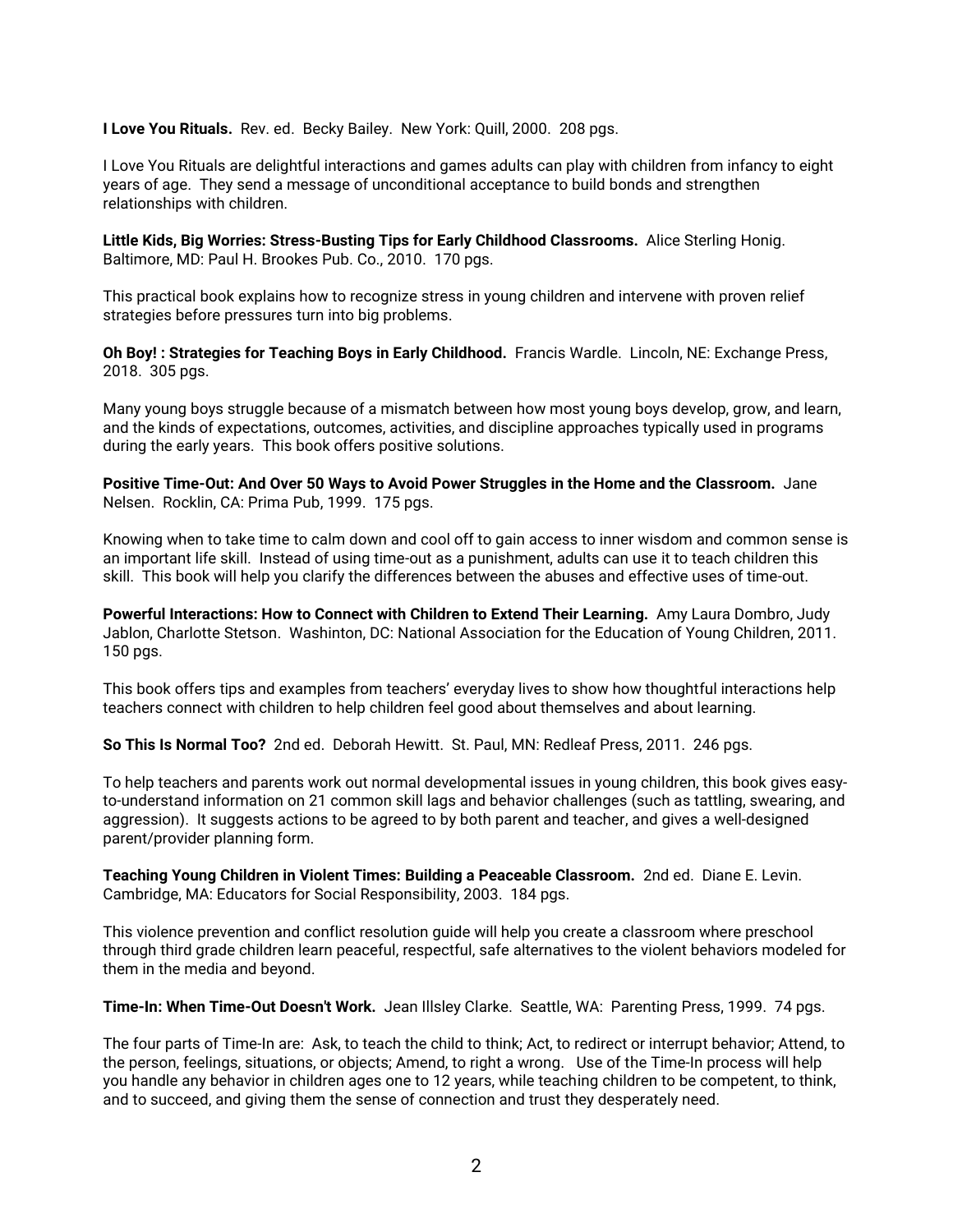**I Love You Rituals.** Rev. ed. Becky Bailey. New York: Quill, 2000. 208 pgs.

I Love You Rituals are delightful interactions and games adults can play with children from infancy to eight years of age. They send a message of unconditional acceptance to build bonds and strengthen relationships with children.

**Little Kids, Big Worries: Stress-Busting Tips for Early Childhood Classrooms.** Alice Sterling Honig. Baltimore, MD: Paul H. Brookes Pub. Co., 2010. 170 pgs.

This practical book explains how to recognize stress in young children and intervene with proven relief strategies before pressures turn into big problems.

**Oh Boy! : Strategies for Teaching Boys in Early Childhood.** Francis Wardle. Lincoln, NE: Exchange Press, 2018. 305 pgs.

Many young boys struggle because of a mismatch between how most young boys develop, grow, and learn, and the kinds of expectations, outcomes, activities, and discipline approaches typically used in programs during the early years. This book offers positive solutions.

**Positive Time-Out: And Over 50 Ways to Avoid Power Struggles in the Home and the Classroom.** Jane Nelsen. Rocklin, CA: Prima Pub, 1999. 175 pgs.

Knowing when to take time to calm down and cool off to gain access to inner wisdom and common sense is an important life skill. Instead of using time-out as a punishment, adults can use it to teach children this skill. This book will help you clarify the differences between the abuses and effective uses of time-out.

**Powerful Interactions: How to Connect with Children to Extend Their Learning.** Amy Laura Dombro, Judy Jablon, Charlotte Stetson. Washinton, DC: National Association for the Education of Young Children, 2011. 150 pgs.

This book offers tips and examples from teachers' everyday lives to show how thoughtful interactions help teachers connect with children to help children feel good about themselves and about learning.

**So This Is Normal Too?** 2nd ed. Deborah Hewitt. St. Paul, MN: Redleaf Press, 2011. 246 pgs.

To help teachers and parents work out normal developmental issues in young children, this book gives easyto-understand information on 21 common skill lags and behavior challenges (such as tattling, swearing, and aggression). It suggests actions to be agreed to by both parent and teacher, and gives a well-designed parent/provider planning form.

**Teaching Young Children in Violent Times: Building a Peaceable Classroom.** 2nd ed. Diane E. Levin. Cambridge, MA: Educators for Social Responsibility, 2003. 184 pgs.

This violence prevention and conflict resolution guide will help you create a classroom where preschool through third grade children learn peaceful, respectful, safe alternatives to the violent behaviors modeled for them in the media and beyond.

**Time-In: When Time-Out Doesn't Work.** Jean Illsley Clarke. Seattle, WA: Parenting Press, 1999. 74 pgs.

The four parts of Time-In are: Ask, to teach the child to think; Act, to redirect or interrupt behavior; Attend, to the person, feelings, situations, or objects; Amend, to right a wrong. Use of the Time-In process will help you handle any behavior in children ages one to 12 years, while teaching children to be competent, to think, and to succeed, and giving them the sense of connection and trust they desperately need.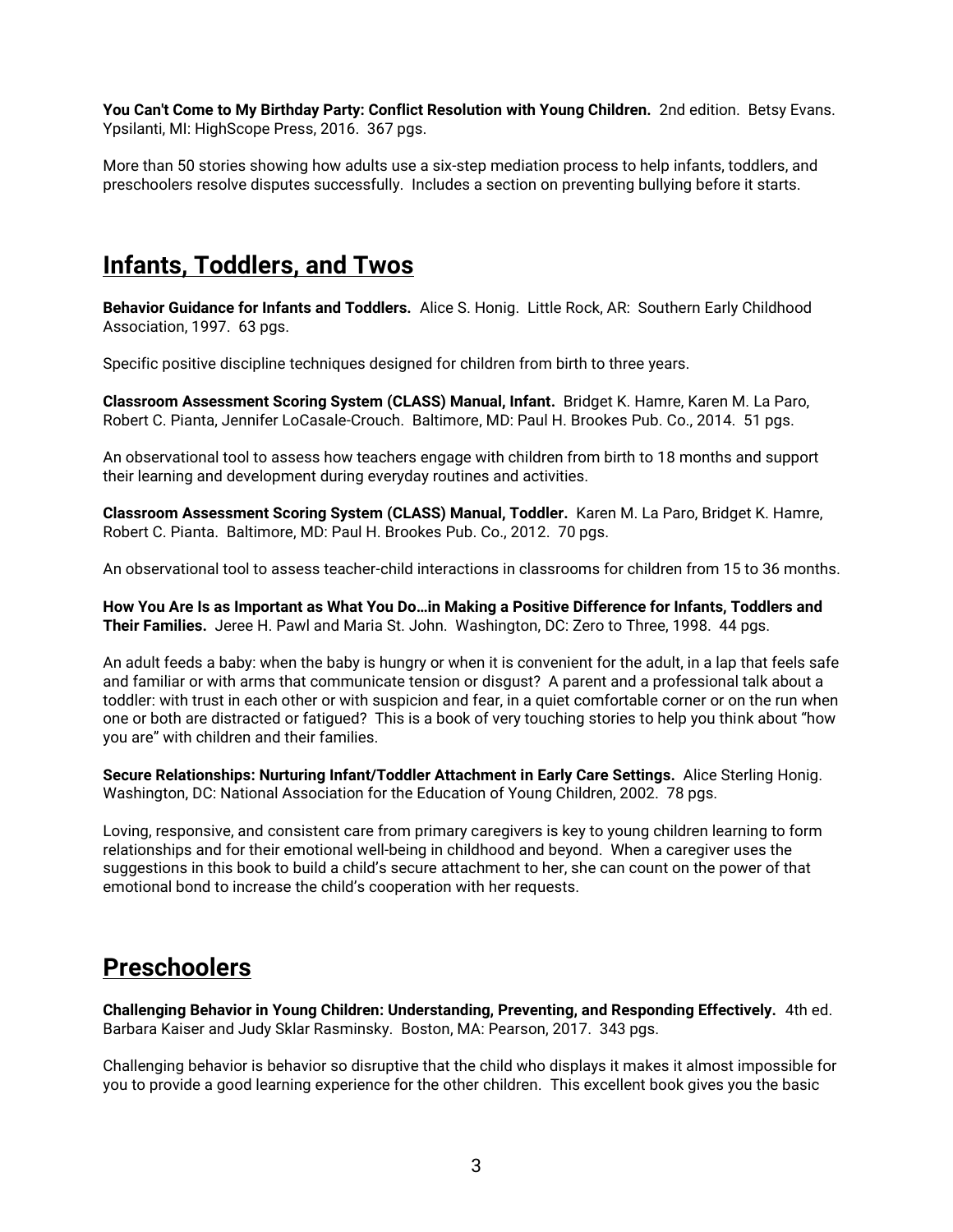**You Can't Come to My Birthday Party: Conflict Resolution with Young Children.** 2nd edition. Betsy Evans. Ypsilanti, MI: HighScope Press, 2016. 367 pgs.

More than 50 stories showing how adults use a six-step mediation process to help infants, toddlers, and preschoolers resolve disputes successfully. Includes a section on preventing bullying before it starts.

#### **Infants, Toddlers, and Twos**

**Behavior Guidance for Infants and Toddlers.** Alice S. Honig. Little Rock, AR: Southern Early Childhood Association, 1997. 63 pgs.

Specific positive discipline techniques designed for children from birth to three years.

**Classroom Assessment Scoring System (CLASS) Manual, Infant.** Bridget K. Hamre, Karen M. La Paro, Robert C. Pianta, Jennifer LoCasale-Crouch. Baltimore, MD: Paul H. Brookes Pub. Co., 2014. 51 pgs.

An observational tool to assess how teachers engage with children from birth to 18 months and support their learning and development during everyday routines and activities.

**Classroom Assessment Scoring System (CLASS) Manual, Toddler.** Karen M. La Paro, Bridget K. Hamre, Robert C. Pianta. Baltimore, MD: Paul H. Brookes Pub. Co., 2012. 70 pgs.

An observational tool to assess teacher-child interactions in classrooms for children from 15 to 36 months.

**How You Are Is as Important as What You Do…in Making a Positive Difference for Infants, Toddlers and Their Families.** Jeree H. Pawl and Maria St. John. Washington, DC: Zero to Three, 1998. 44 pgs.

An adult feeds a baby: when the baby is hungry or when it is convenient for the adult, in a lap that feels safe and familiar or with arms that communicate tension or disgust? A parent and a professional talk about a toddler: with trust in each other or with suspicion and fear, in a quiet comfortable corner or on the run when one or both are distracted or fatigued? This is a book of very touching stories to help you think about "how you are" with children and their families.

**Secure Relationships: Nurturing Infant/Toddler Attachment in Early Care Settings.** Alice Sterling Honig. Washington, DC: National Association for the Education of Young Children, 2002. 78 pgs.

Loving, responsive, and consistent care from primary caregivers is key to young children learning to form relationships and for their emotional well-being in childhood and beyond. When a caregiver uses the suggestions in this book to build a child's secure attachment to her, she can count on the power of that emotional bond to increase the child's cooperation with her requests.

#### **Preschoolers**

**Challenging Behavior in Young Children: Understanding, Preventing, and Responding Effectively.** 4th ed. Barbara Kaiser and Judy Sklar Rasminsky. Boston, MA: Pearson, 2017. 343 pgs.

Challenging behavior is behavior so disruptive that the child who displays it makes it almost impossible for you to provide a good learning experience for the other children. This excellent book gives you the basic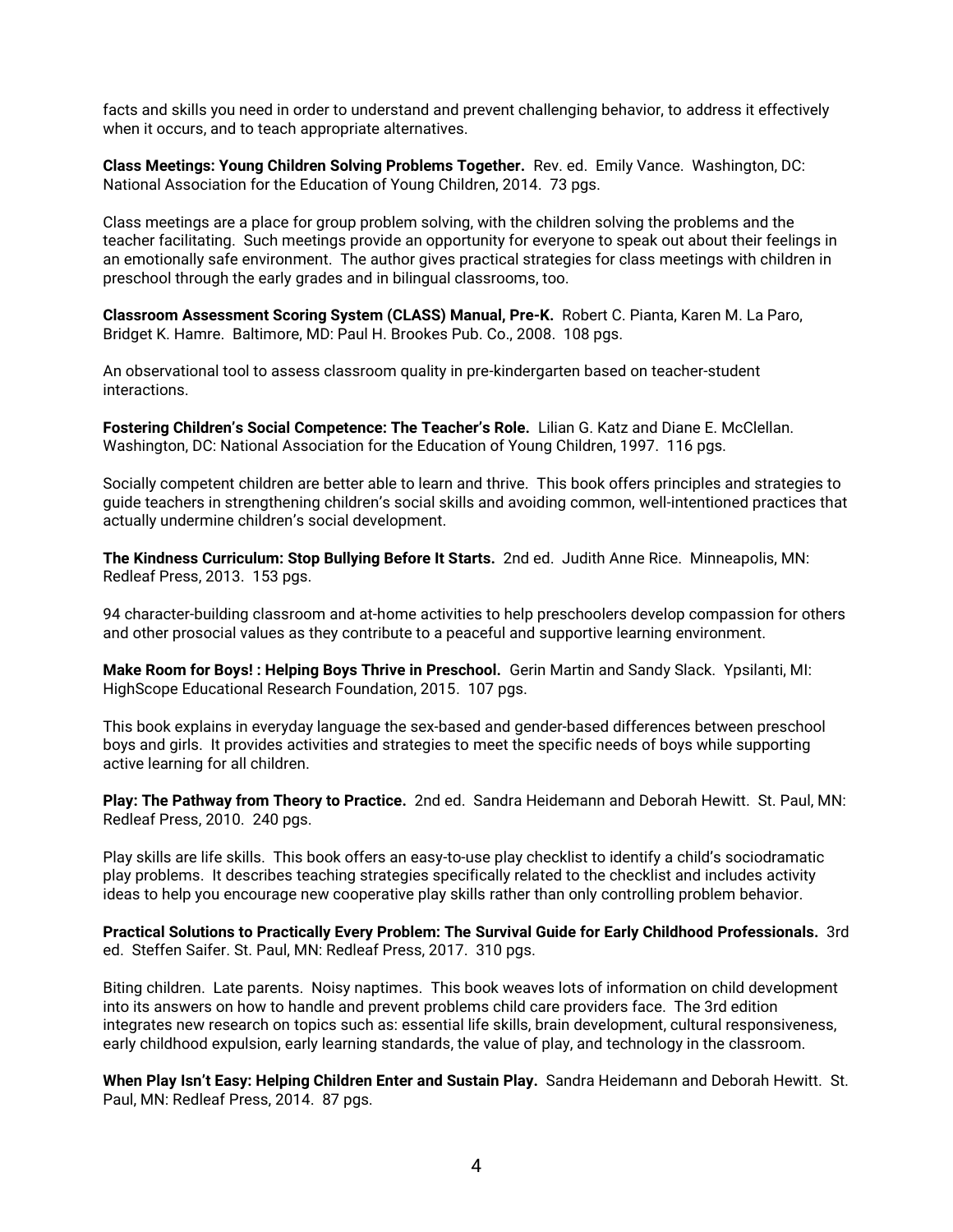facts and skills you need in order to understand and prevent challenging behavior, to address it effectively when it occurs, and to teach appropriate alternatives.

**Class Meetings: Young Children Solving Problems Together.** Rev. ed. Emily Vance. Washington, DC: National Association for the Education of Young Children, 2014. 73 pgs.

Class meetings are a place for group problem solving, with the children solving the problems and the teacher facilitating. Such meetings provide an opportunity for everyone to speak out about their feelings in an emotionally safe environment. The author gives practical strategies for class meetings with children in preschool through the early grades and in bilingual classrooms, too.

**Classroom Assessment Scoring System (CLASS) Manual, Pre-K.** Robert C. Pianta, Karen M. La Paro, Bridget K. Hamre. Baltimore, MD: Paul H. Brookes Pub. Co., 2008. 108 pgs.

An observational tool to assess classroom quality in pre-kindergarten based on teacher-student interactions.

**Fostering Children's Social Competence: The Teacher's Role.** Lilian G. Katz and Diane E. McClellan. Washington, DC: National Association for the Education of Young Children, 1997. 116 pgs.

Socially competent children are better able to learn and thrive. This book offers principles and strategies to guide teachers in strengthening children's social skills and avoiding common, well-intentioned practices that actually undermine children's social development.

**The Kindness Curriculum: Stop Bullying Before It Starts.** 2nd ed. Judith Anne Rice. Minneapolis, MN: Redleaf Press, 2013. 153 pgs.

94 character-building classroom and at-home activities to help preschoolers develop compassion for others and other prosocial values as they contribute to a peaceful and supportive learning environment.

**Make Room for Boys! : Helping Boys Thrive in Preschool.** Gerin Martin and Sandy Slack. Ypsilanti, MI: HighScope Educational Research Foundation, 2015. 107 pgs.

This book explains in everyday language the sex-based and gender-based differences between preschool boys and girls. It provides activities and strategies to meet the specific needs of boys while supporting active learning for all children.

**Play: The Pathway from Theory to Practice.** 2nd ed. Sandra Heidemann and Deborah Hewitt. St. Paul, MN: Redleaf Press, 2010. 240 pgs.

Play skills are life skills. This book offers an easy-to-use play checklist to identify a child's sociodramatic play problems. It describes teaching strategies specifically related to the checklist and includes activity ideas to help you encourage new cooperative play skills rather than only controlling problem behavior.

**Practical Solutions to Practically Every Problem: The Survival Guide for Early Childhood Professionals.** 3rd ed. Steffen Saifer. St. Paul, MN: Redleaf Press, 2017. 310 pgs.

Biting children. Late parents. Noisy naptimes. This book weaves lots of information on child development into its answers on how to handle and prevent problems child care providers face. The 3rd edition integrates new research on topics such as: essential life skills, brain development, cultural responsiveness, early childhood expulsion, early learning standards, the value of play, and technology in the classroom.

**When Play Isn't Easy: Helping Children Enter and Sustain Play.** Sandra Heidemann and Deborah Hewitt. St. Paul, MN: Redleaf Press, 2014. 87 pgs.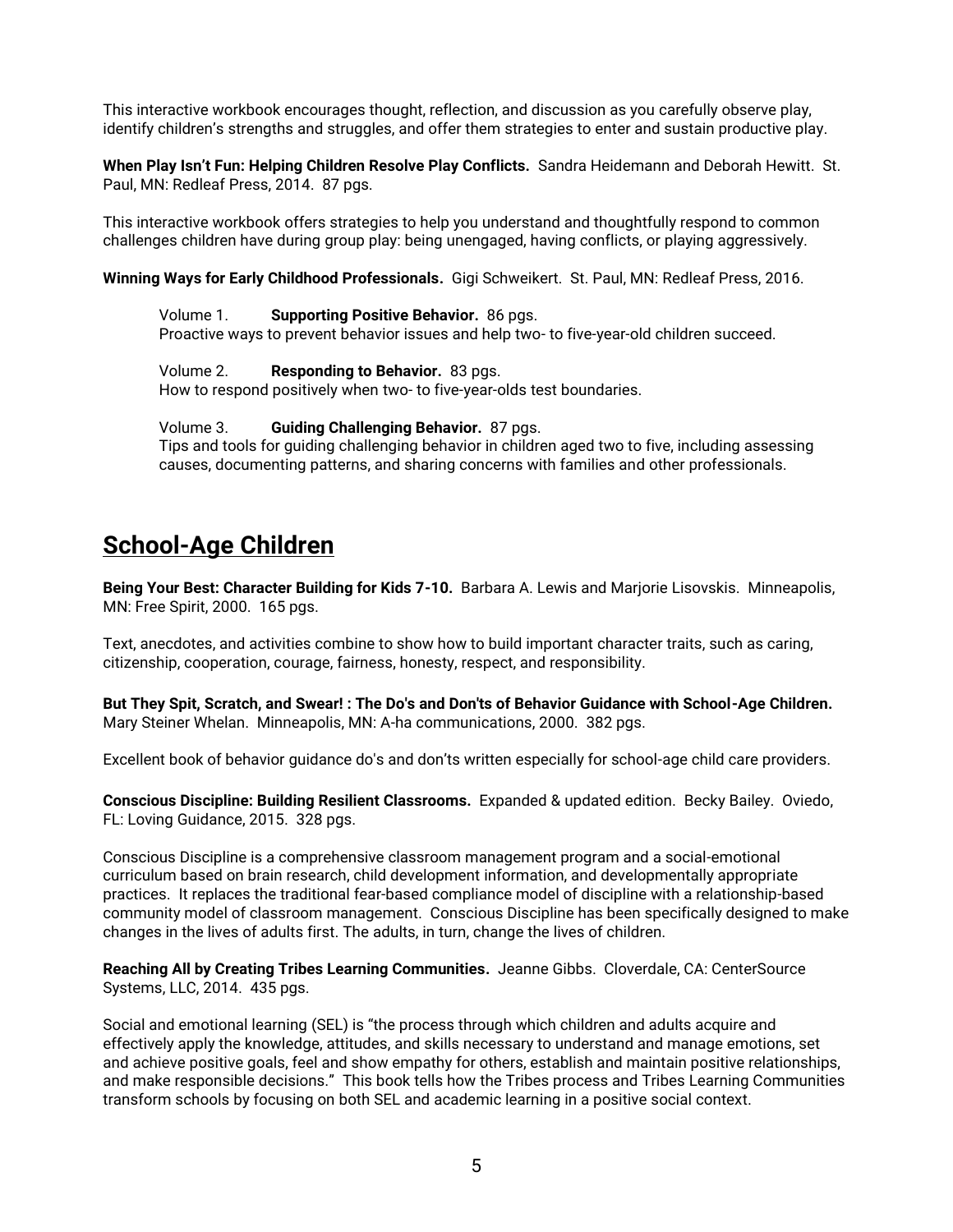This interactive workbook encourages thought, reflection, and discussion as you carefully observe play, identify children's strengths and struggles, and offer them strategies to enter and sustain productive play.

**When Play Isn't Fun: Helping Children Resolve Play Conflicts.** Sandra Heidemann and Deborah Hewitt. St. Paul, MN: Redleaf Press, 2014. 87 pgs.

This interactive workbook offers strategies to help you understand and thoughtfully respond to common challenges children have during group play: being unengaged, having conflicts, or playing aggressively.

**Winning Ways for Early Childhood Professionals.** Gigi Schweikert. St. Paul, MN: Redleaf Press, 2016.

Volume 1. **Supporting Positive Behavior.** 86 pgs. Proactive ways to prevent behavior issues and help two- to five-year-old children succeed.

Volume 2. **Responding to Behavior.** 83 pgs.

How to respond positively when two- to five-year-olds test boundaries.

#### Volume 3. **Guiding Challenging Behavior.** 87 pgs.

Tips and tools for guiding challenging behavior in children aged two to five, including assessing causes, documenting patterns, and sharing concerns with families and other professionals.

## **School-Age Children**

**Being Your Best: Character Building for Kids 7-10.** Barbara A. Lewis and Marjorie Lisovskis. Minneapolis, MN: Free Spirit, 2000. 165 pgs.

Text, anecdotes, and activities combine to show how to build important character traits, such as caring, citizenship, cooperation, courage, fairness, honesty, respect, and responsibility.

**But They Spit, Scratch, and Swear! : The Do's and Don'ts of Behavior Guidance with School-Age Children.** Mary Steiner Whelan. Minneapolis, MN: A-ha communications, 2000. 382 pgs.

Excellent book of behavior guidance do's and don'ts written especially for school-age child care providers.

**Conscious Discipline: Building Resilient Classrooms.** Expanded & updated edition. Becky Bailey. Oviedo, FL: Loving Guidance, 2015. 328 pgs.

Conscious Discipline is a comprehensive classroom management program and a social-emotional curriculum based on brain research, child development information, and developmentally appropriate practices. It replaces the traditional fear-based compliance model of discipline with a relationship-based community model of classroom management. Conscious Discipline has been specifically designed to make changes in the lives of adults first. The adults, in turn, change the lives of children.

**Reaching All by Creating Tribes Learning Communities.** Jeanne Gibbs. Cloverdale, CA: CenterSource Systems, LLC, 2014. 435 pgs.

Social and emotional learning (SEL) is "the process through which children and adults acquire and effectively apply the knowledge, attitudes, and skills necessary to understand and manage emotions, set and achieve positive goals, feel and show empathy for others, establish and maintain positive relationships, and make responsible decisions." This book tells how the Tribes process and Tribes Learning Communities transform schools by focusing on both SEL and academic learning in a positive social context.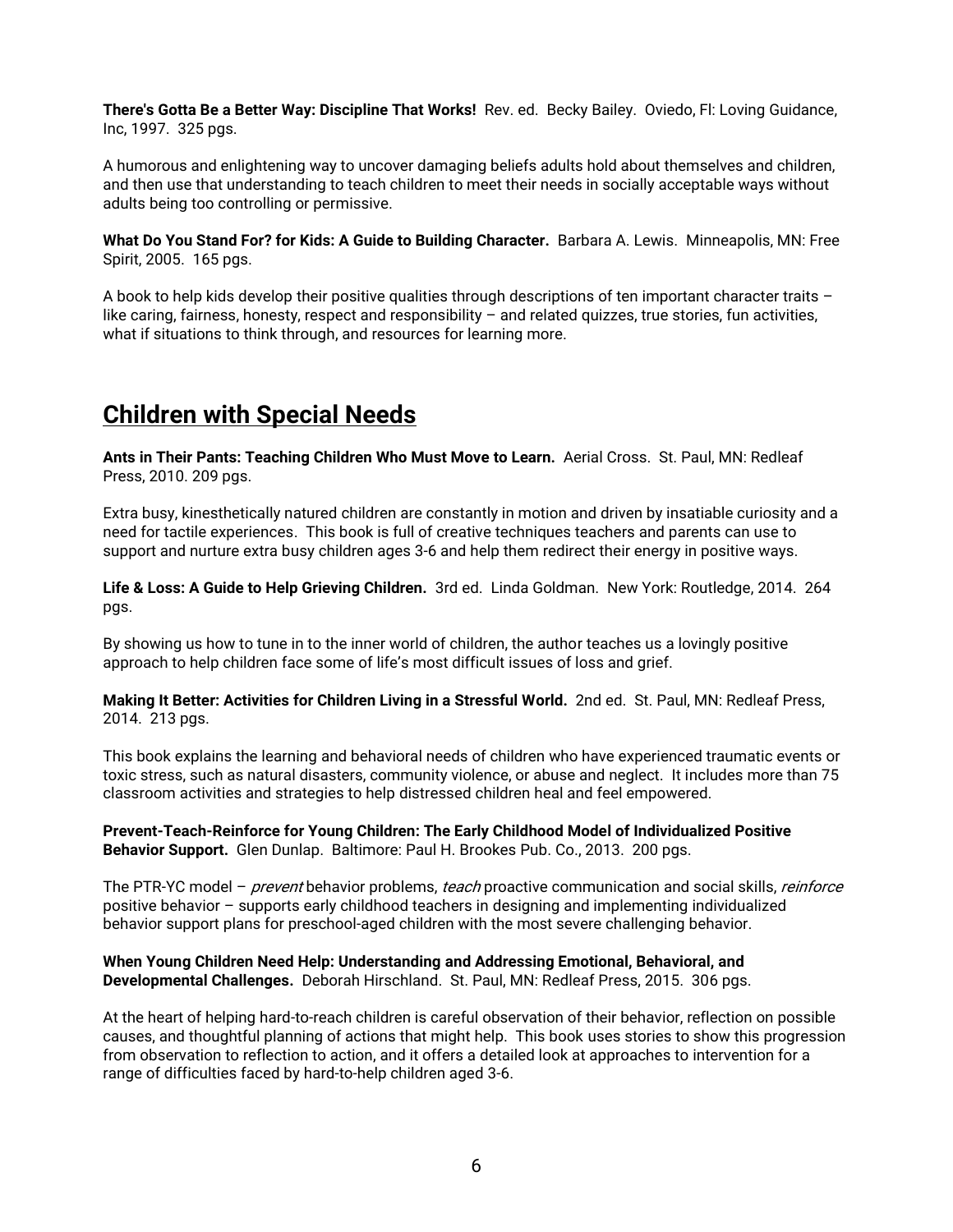**There's Gotta Be a Better Way: Discipline That Works!** Rev. ed. Becky Bailey. Oviedo, Fl: Loving Guidance, Inc, 1997. 325 pgs.

A humorous and enlightening way to uncover damaging beliefs adults hold about themselves and children, and then use that understanding to teach children to meet their needs in socially acceptable ways without adults being too controlling or permissive.

**What Do You Stand For? for Kids: A Guide to Building Character.** Barbara A. Lewis. Minneapolis, MN: Free Spirit, 2005. 165 pgs.

A book to help kids develop their positive qualities through descriptions of ten important character traits – like caring, fairness, honesty, respect and responsibility – and related quizzes, true stories, fun activities, what if situations to think through, and resources for learning more.

## **Children with Special Needs**

**Ants in Their Pants: Teaching Children Who Must Move to Learn.** Aerial Cross. St. Paul, MN: Redleaf Press, 2010. 209 pgs.

Extra busy, kinesthetically natured children are constantly in motion and driven by insatiable curiosity and a need for tactile experiences. This book is full of creative techniques teachers and parents can use to support and nurture extra busy children ages 3-6 and help them redirect their energy in positive ways.

**Life & Loss: A Guide to Help Grieving Children.** 3rd ed. Linda Goldman. New York: Routledge, 2014. 264 pgs.

By showing us how to tune in to the inner world of children, the author teaches us a lovingly positive approach to help children face some of life's most difficult issues of loss and grief.

**Making It Better: Activities for Children Living in a Stressful World.** 2nd ed. St. Paul, MN: Redleaf Press, 2014. 213 pgs.

This book explains the learning and behavioral needs of children who have experienced traumatic events or toxic stress, such as natural disasters, community violence, or abuse and neglect. It includes more than 75 classroom activities and strategies to help distressed children heal and feel empowered.

**Prevent-Teach-Reinforce for Young Children: The Early Childhood Model of Individualized Positive Behavior Support.** Glen Dunlap. Baltimore: Paul H. Brookes Pub. Co., 2013. 200 pgs.

The PTR-YC model – *prevent* behavior problems, *teach* proactive communication and social skills, *reinforce* positive behavior – supports early childhood teachers in designing and implementing individualized behavior support plans for preschool-aged children with the most severe challenging behavior.

**When Young Children Need Help: Understanding and Addressing Emotional, Behavioral, and Developmental Challenges.** Deborah Hirschland. St. Paul, MN: Redleaf Press, 2015. 306 pgs.

At the heart of helping hard-to-reach children is careful observation of their behavior, reflection on possible causes, and thoughtful planning of actions that might help. This book uses stories to show this progression from observation to reflection to action, and it offers a detailed look at approaches to intervention for a range of difficulties faced by hard-to-help children aged 3-6.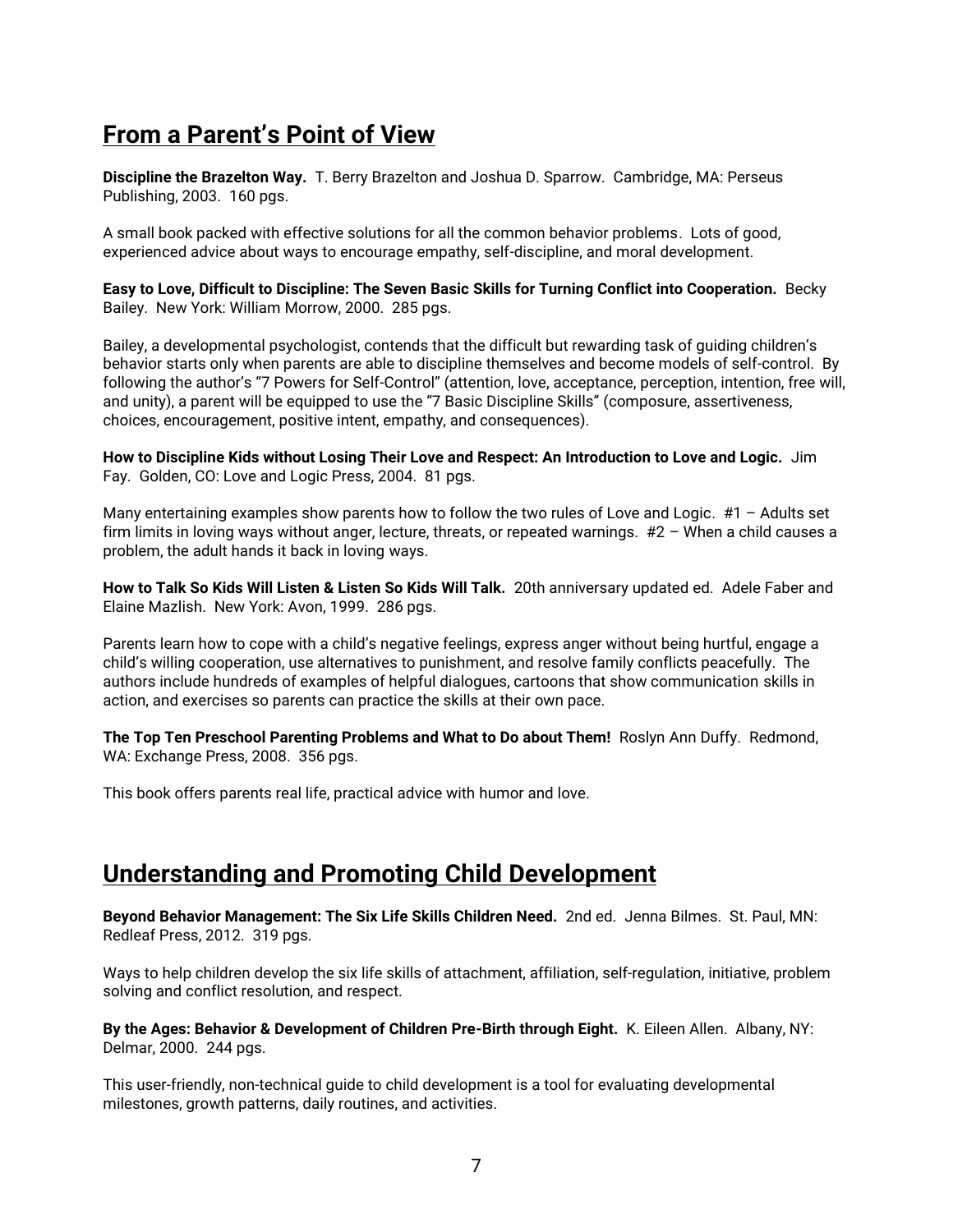# **From a Parent's Point of View**

**Discipline the Brazelton Way.** T. Berry Brazelton and Joshua D. Sparrow. Cambridge, MA: Perseus Publishing, 2003. 160 pgs.

A small book packed with effective solutions for all the common behavior problems. Lots of good, experienced advice about ways to encourage empathy, self-discipline, and moral development.

**Easy to Love, Difficult to Discipline: The Seven Basic Skills for Turning Conflict into Cooperation.** Becky Bailey. New York: William Morrow, 2000. 285 pgs.

Bailey, a developmental psychologist, contends that the difficult but rewarding task of guiding children's behavior starts only when parents are able to discipline themselves and become models of self-control. By following the author's "7 Powers for Self-Control" (attention, love, acceptance, perception, intention, free will, and unity), a parent will be equipped to use the "7 Basic Discipline Skills" (composure, assertiveness, choices, encouragement, positive intent, empathy, and consequences).

**How to Discipline Kids without Losing Their Love and Respect: An Introduction to Love and Logic.** Jim Fay. Golden, CO: Love and Logic Press, 2004. 81 pgs.

Many entertaining examples show parents how to follow the two rules of Love and Logic. #1 – Adults set firm limits in loving ways without anger, lecture, threats, or repeated warnings. #2 – When a child causes a problem, the adult hands it back in loving ways.

**How to Talk So Kids Will Listen & Listen So Kids Will Talk.** 20th anniversary updated ed. Adele Faber and Elaine Mazlish. New York: Avon, 1999. 286 pgs.

Parents learn how to cope with a child's negative feelings, express anger without being hurtful, engage a child's willing cooperation, use alternatives to punishment, and resolve family conflicts peacefully. The authors include hundreds of examples of helpful dialogues, cartoons that show communication skills in action, and exercises so parents can practice the skills at their own pace.

**The Top Ten Preschool Parenting Problems and What to Do about Them!** Roslyn Ann Duffy. Redmond, WA: Exchange Press, 2008. 356 pgs.

This book offers parents real life, practical advice with humor and love.

#### **Understanding and Promoting Child Development**

**Beyond Behavior Management: The Six Life Skills Children Need.** 2nd ed. Jenna Bilmes. St. Paul, MN: Redleaf Press, 2012. 319 pgs.

Ways to help children develop the six life skills of attachment, affiliation, self-regulation, initiative, problem solving and conflict resolution, and respect.

**By the Ages: Behavior & Development of Children Pre-Birth through Eight.** K. Eileen Allen. Albany, NY: Delmar, 2000. 244 pgs.

This user-friendly, non-technical guide to child development is a tool for evaluating developmental milestones, growth patterns, daily routines, and activities.